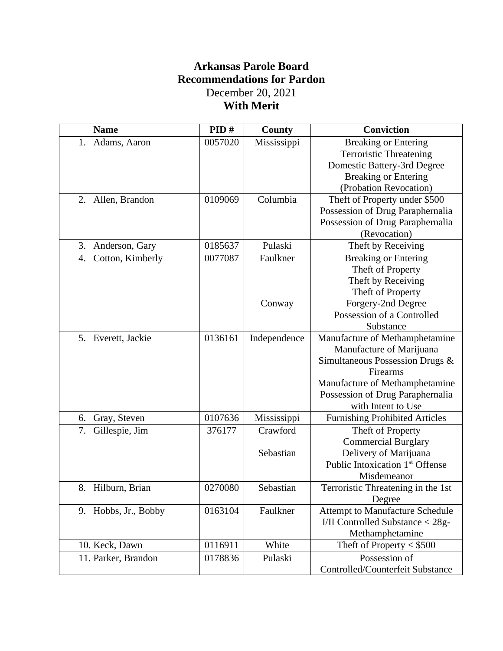# **Arkansas Parole Board Recommendations for Pardon**  December 20, 2021 **With Merit**

| <b>Name</b>            | PID#    | County       | <b>Conviction</b>                           |
|------------------------|---------|--------------|---------------------------------------------|
| Adams, Aaron<br>1.     | 0057020 | Mississippi  | <b>Breaking or Entering</b>                 |
|                        |         |              | <b>Terroristic Threatening</b>              |
|                        |         |              | Domestic Battery-3rd Degree                 |
|                        |         |              | <b>Breaking or Entering</b>                 |
|                        |         |              | (Probation Revocation)                      |
| Allen, Brandon<br>2.   | 0109069 | Columbia     | Theft of Property under \$500               |
|                        |         |              | Possession of Drug Paraphernalia            |
|                        |         |              | Possession of Drug Paraphernalia            |
|                        |         |              | (Revocation)                                |
| 3.<br>Anderson, Gary   | 0185637 | Pulaski      | Theft by Receiving                          |
| Cotton, Kimberly<br>4. | 0077087 | Faulkner     | <b>Breaking or Entering</b>                 |
|                        |         |              | Theft of Property                           |
|                        |         |              | Theft by Receiving                          |
|                        |         |              | Theft of Property                           |
|                        |         | Conway       | Forgery-2nd Degree                          |
|                        |         |              | Possession of a Controlled                  |
|                        |         |              | Substance                                   |
| 5. Everett, Jackie     | 0136161 | Independence | Manufacture of Methamphetamine              |
|                        |         |              | Manufacture of Marijuana                    |
|                        |         |              | Simultaneous Possession Drugs &             |
|                        |         |              | Firearms                                    |
|                        |         |              | Manufacture of Methamphetamine              |
|                        |         |              | Possession of Drug Paraphernalia            |
|                        |         |              | with Intent to Use                          |
| Gray, Steven<br>6.     | 0107636 | Mississippi  | <b>Furnishing Prohibited Articles</b>       |
| Gillespie, Jim<br>7.   | 376177  | Crawford     | Theft of Property                           |
|                        |         |              | <b>Commercial Burglary</b>                  |
|                        |         | Sebastian    | Delivery of Marijuana                       |
|                        |         |              | Public Intoxication 1 <sup>st</sup> Offense |
|                        |         |              | Misdemeanor                                 |
| 8.<br>Hilburn, Brian   | 0270080 | Sebastian    | Terroristic Threatening in the 1st          |
|                        |         |              | Degree                                      |
| 9. Hobbs, Jr., Bobby   | 0163104 | Faulkner     | <b>Attempt to Manufacture Schedule</b>      |
|                        |         |              | I/II Controlled Substance < 28g-            |
|                        |         |              | Methamphetamine                             |
| 10. Keck, Dawn         | 0116911 | White        | Theft of Property $<$ \$500                 |
| 11. Parker, Brandon    | 0178836 | Pulaski      | Possession of                               |
|                        |         |              | Controlled/Counterfeit Substance            |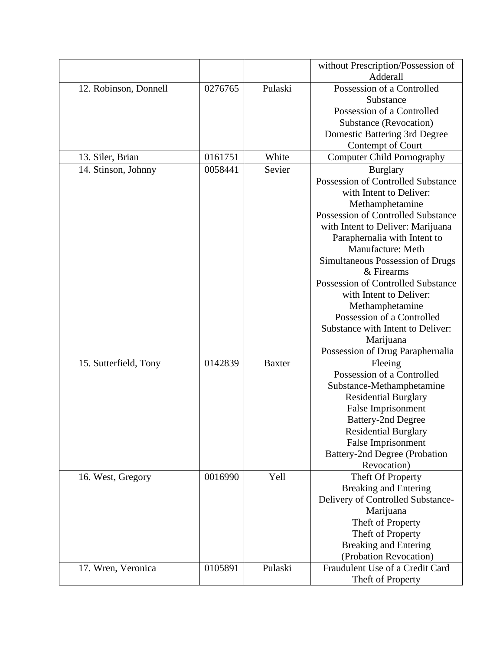|                       |         |               | without Prescription/Possession of |
|-----------------------|---------|---------------|------------------------------------|
|                       |         |               | Adderall                           |
| 12. Robinson, Donnell | 0276765 | Pulaski       | Possession of a Controlled         |
|                       |         |               | Substance                          |
|                       |         |               | Possession of a Controlled         |
|                       |         |               | Substance (Revocation)             |
|                       |         |               | Domestic Battering 3rd Degree      |
|                       |         |               | Contempt of Court                  |
| 13. Siler, Brian      | 0161751 | White         | <b>Computer Child Pornography</b>  |
| 14. Stinson, Johnny   | 0058441 | Sevier        | <b>Burglary</b>                    |
|                       |         |               | Possession of Controlled Substance |
|                       |         |               | with Intent to Deliver:            |
|                       |         |               | Methamphetamine                    |
|                       |         |               | Possession of Controlled Substance |
|                       |         |               | with Intent to Deliver: Marijuana  |
|                       |         |               | Paraphernalia with Intent to       |
|                       |         |               | Manufacture: Meth                  |
|                       |         |               | Simultaneous Possession of Drugs   |
|                       |         |               | & Firearms                         |
|                       |         |               | Possession of Controlled Substance |
|                       |         |               | with Intent to Deliver:            |
|                       |         |               | Methamphetamine                    |
|                       |         |               | Possession of a Controlled         |
|                       |         |               | Substance with Intent to Deliver:  |
|                       |         |               | Marijuana                          |
|                       |         |               | Possession of Drug Paraphernalia   |
| 15. Sutterfield, Tony | 0142839 | <b>Baxter</b> | Fleeing                            |
|                       |         |               | Possession of a Controlled         |
|                       |         |               | Substance-Methamphetamine          |
|                       |         |               | <b>Residential Burglary</b>        |
|                       |         |               | False Imprisonment                 |
|                       |         |               | <b>Battery-2nd Degree</b>          |
|                       |         |               | <b>Residential Burglary</b>        |
|                       |         |               | False Imprisonment                 |
|                       |         |               | Battery-2nd Degree (Probation      |
|                       |         |               | Revocation)                        |
| 16. West, Gregory     | 0016990 | Yell          | Theft Of Property                  |
|                       |         |               | <b>Breaking and Entering</b>       |
|                       |         |               | Delivery of Controlled Substance-  |
|                       |         |               | Marijuana                          |
|                       |         |               | Theft of Property                  |
|                       |         |               | Theft of Property                  |
|                       |         |               | <b>Breaking and Entering</b>       |
|                       |         |               | (Probation Revocation)             |
| 17. Wren, Veronica    | 0105891 | Pulaski       | Fraudulent Use of a Credit Card    |
|                       |         |               | Theft of Property                  |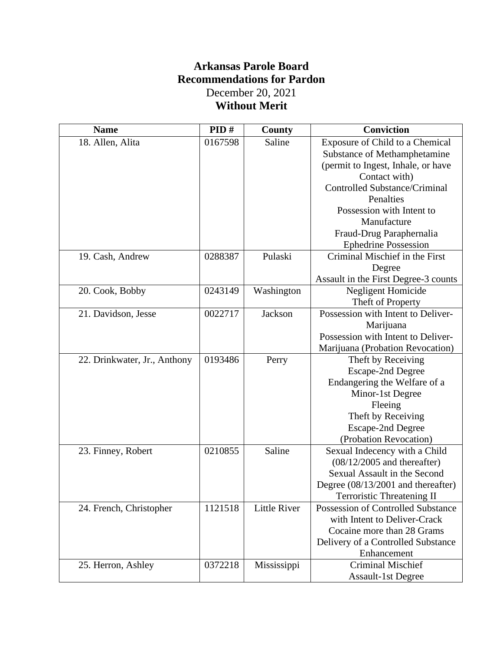# **Arkansas Parole Board Recommendations for Pardon** December 20, 2021 **Without Merit**

| <b>Name</b>                  | PID#    | <b>County</b>       | <b>Conviction</b>                    |
|------------------------------|---------|---------------------|--------------------------------------|
| 18. Allen, Alita             | 0167598 | Saline              | Exposure of Child to a Chemical      |
|                              |         |                     | Substance of Methamphetamine         |
|                              |         |                     | (permit to Ingest, Inhale, or have   |
|                              |         |                     | Contact with)                        |
|                              |         |                     | <b>Controlled Substance/Criminal</b> |
|                              |         |                     | Penalties                            |
|                              |         |                     | Possession with Intent to            |
|                              |         |                     | Manufacture                          |
|                              |         |                     | Fraud-Drug Paraphernalia             |
|                              |         |                     | <b>Ephedrine Possession</b>          |
| 19. Cash, Andrew             | 0288387 | Pulaski             | Criminal Mischief in the First       |
|                              |         |                     | Degree                               |
|                              |         |                     | Assault in the First Degree-3 counts |
| 20. Cook, Bobby              | 0243149 | Washington          | Negligent Homicide                   |
|                              |         |                     | Theft of Property                    |
| 21. Davidson, Jesse          | 0022717 | Jackson             | Possession with Intent to Deliver-   |
|                              |         |                     | Marijuana                            |
|                              |         |                     | Possession with Intent to Deliver-   |
|                              |         |                     | Marijuana (Probation Revocation)     |
| 22. Drinkwater, Jr., Anthony | 0193486 | Perry               | Theft by Receiving                   |
|                              |         |                     | <b>Escape-2nd Degree</b>             |
|                              |         |                     | Endangering the Welfare of a         |
|                              |         |                     | Minor-1st Degree                     |
|                              |         |                     | Fleeing                              |
|                              |         |                     | Theft by Receiving                   |
|                              |         |                     | <b>Escape-2nd Degree</b>             |
|                              |         |                     | (Probation Revocation)               |
| 23. Finney, Robert           | 0210855 | Saline              | Sexual Indecency with a Child        |
|                              |         |                     | $(08/12/2005$ and thereafter)        |
|                              |         |                     | Sexual Assault in the Second         |
|                              |         |                     | Degree (08/13/2001 and thereafter)   |
|                              |         |                     | <b>Terroristic Threatening II</b>    |
| 24. French, Christopher      | 1121518 | <b>Little River</b> | Possession of Controlled Substance   |
|                              |         |                     | with Intent to Deliver-Crack         |
|                              |         |                     | Cocaine more than 28 Grams           |
|                              |         |                     | Delivery of a Controlled Substance   |
|                              |         |                     | Enhancement                          |
| 25. Herron, Ashley           | 0372218 | Mississippi         | <b>Criminal Mischief</b>             |
|                              |         |                     | <b>Assault-1st Degree</b>            |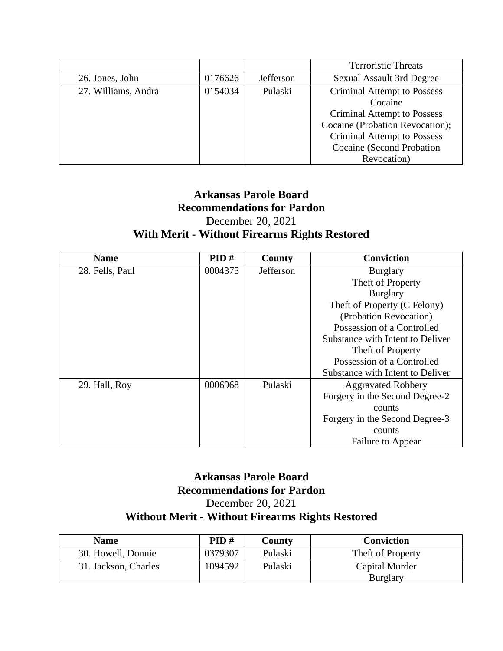|                     |         |           | <b>Terroristic Threats</b>         |
|---------------------|---------|-----------|------------------------------------|
| 26. Jones, John     | 0176626 | Jefferson | <b>Sexual Assault 3rd Degree</b>   |
| 27. Williams, Andra | 0154034 | Pulaski   | <b>Criminal Attempt to Possess</b> |
|                     |         |           | Cocaine                            |
|                     |         |           | <b>Criminal Attempt to Possess</b> |
|                     |         |           | Cocaine (Probation Revocation);    |
|                     |         |           | <b>Criminal Attempt to Possess</b> |
|                     |         |           | Cocaine (Second Probation          |
|                     |         |           | Revocation)                        |

### **Arkansas Parole Board Recommendations for Pardon** December 20, 2021 **With Merit - Without Firearms Rights Restored**

| <b>Name</b>     | PID#    | County    | <b>Conviction</b>                |
|-----------------|---------|-----------|----------------------------------|
| 28. Fells, Paul | 0004375 | Jefferson | <b>Burglary</b>                  |
|                 |         |           | Theft of Property                |
|                 |         |           | <b>Burglary</b>                  |
|                 |         |           | Theft of Property (C Felony)     |
|                 |         |           | (Probation Revocation)           |
|                 |         |           | Possession of a Controlled       |
|                 |         |           | Substance with Intent to Deliver |
|                 |         |           | Theft of Property                |
|                 |         |           | Possession of a Controlled       |
|                 |         |           | Substance with Intent to Deliver |
| 29. Hall, Roy   | 0006968 | Pulaski   | <b>Aggravated Robbery</b>        |
|                 |         |           | Forgery in the Second Degree-2   |
|                 |         |           | counts                           |
|                 |         |           | Forgery in the Second Degree-3   |
|                 |         |           | counts                           |
|                 |         |           | Failure to Appear                |

## **Arkansas Parole Board Recommendations for Pardon** December 20, 2021 **Without Merit - Without Firearms Rights Restored**

| <b>Name</b>          | PID#    | County  | Conviction                        |
|----------------------|---------|---------|-----------------------------------|
| 30. Howell, Donnie   | 0379307 | Pulaski | Theft of Property                 |
| 31. Jackson, Charles | 1094592 | Pulaski | Capital Murder<br><b>Burglary</b> |